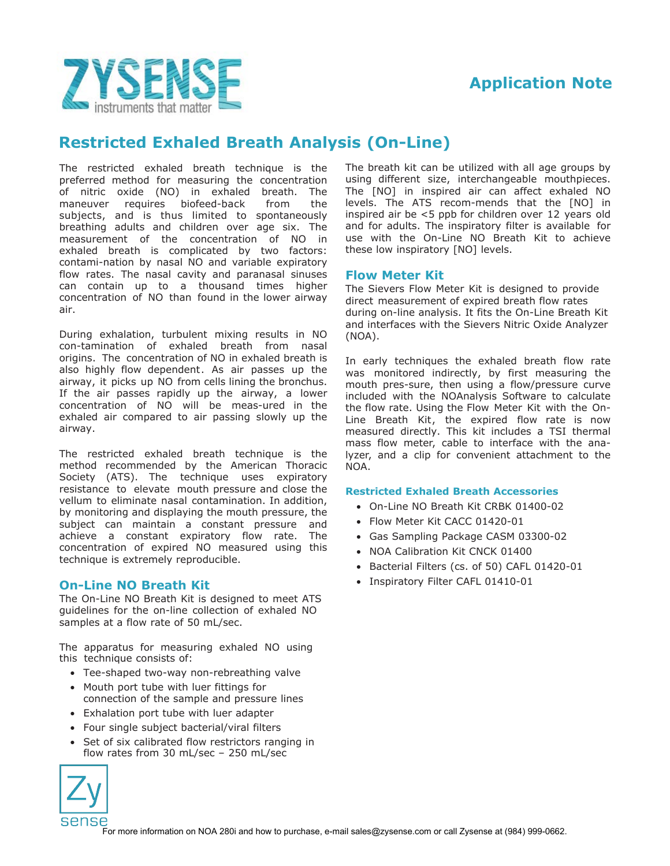



# **Restricted Exhaled Breath Analysis (On-Line)**

The restricted exhaled breath technique is the preferred method for measuring the concentration of nitric oxide (NO) in exhaled breath. The maneuver requires biofeed-back from the subjects, and is thus limited to spontaneously breathing adults and children over age six. The measurement of the concentration of NO in exhaled breath is complicated by two factors: contami-nation by nasal NO and variable expiratory flow rates. The nasal cavity and paranasal sinuses can contain up to a thousand times higher concentration of NO than found in the lower airway air.

During exhalation, turbulent mixing results in NO con-tamination of exhaled breath from nasal origins. The concentration of NO in exhaled breath is also highly flow dependent. As air passes up the airway, it picks up NO from cells lining the bronchus. If the air passes rapidly up the airway, a lower concentration of NO will be meas-ured in the exhaled air compared to air passing slowly up the airway.

The restricted exhaled breath technique is the method recommended by the American Thoracic Society (ATS). The technique uses expiratory resistance to elevate mouth pressure and close the vellum to eliminate nasal contamination. In addition, by monitoring and displaying the mouth pressure, the subject can maintain a constant pressure and achieve a constant expiratory flow rate. The concentration of expired NO measured using this technique is extremely reproducible.

## **On-Line NO Breath Kit**

The On-Line NO Breath Kit is designed to meet ATS guidelines for the on-line collection of exhaled NO samples at a flow rate of 50 mL/sec.

The apparatus for measuring exhaled NO using this technique consists of:

- Tee-shaped two-way non-rebreathing valve
- Mouth port tube with luer fittings for connection of the sample and pressure lines
- Exhalation port tube with luer adapter
- Four single subject bacterial/viral filters
- Set of six calibrated flow restrictors ranging in flow rates from 30 mL/sec – 250 mL/sec



The breath kit can be utilized with all age groups by using different size, interchangeable mouthpieces. The [NO] in inspired air can affect exhaled NO levels. The ATS recom-mends that the [NO] in inspired air be <5 ppb for children over 12 years old and for adults. The inspiratory filter is available for use with the On-Line NO Breath Kit to achieve these low inspiratory [NO] levels.

## **Flow Meter Kit**

The Sievers Flow Meter Kit is designed to provide direct measurement of expired breath flow rates during on-line analysis. It fits the On-Line Breath Kit and interfaces with the Sievers Nitric Oxide Analyzer (NOA).

In early techniques the exhaled breath flow rate was monitored indirectly, by first measuring the mouth pres-sure, then using a flow/pressure curve included with the NOAnalysis Software to calculate the flow rate. Using the Flow Meter Kit with the On-Line Breath Kit, the expired flow rate is now measured directly. This kit includes a TSI thermal mass flow meter, cable to interface with the analyzer, and a clip for convenient attachment to the NOA.

#### **Restricted Exhaled Breath Accessories**

- On-Line NO Breath Kit CRBK 01400-02
- Flow Meter Kit CACC 01420-01
- Gas Sampling Package CASM 03300-02
- NOA Calibration Kit CNCK 01400
- Bacterial Filters (cs. of 50) CAFL 01420-01
- Inspiratory Filter CAFL 01410-01